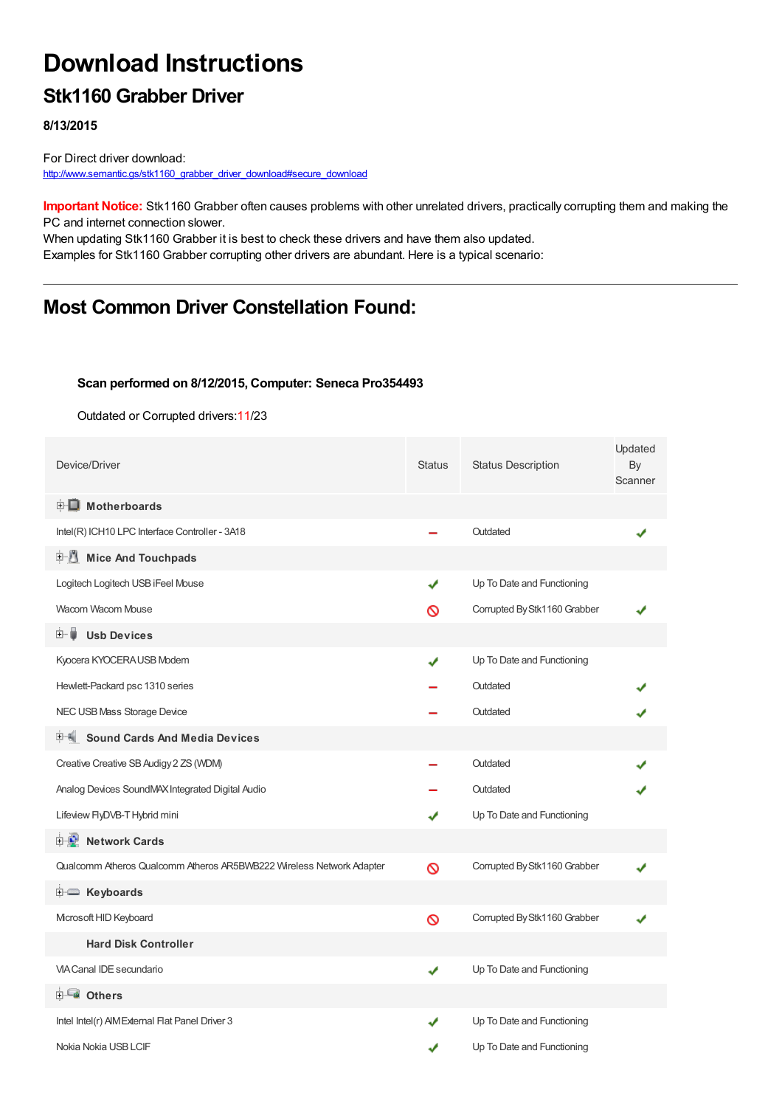# **Download Instructions**

### **Stk1160 Grabber Driver**

**8/13/2015**

For Direct driver download: [http://www.semantic.gs/stk1160\\_grabber\\_driver\\_download#secure\\_download](http://www.semantic.gs/stk1160_grabber_driver_download#secure_download)

**Important Notice:** Stk1160 Grabber often causes problems with other unrelated drivers, practically corrupting them and making the PC and internet connection slower.

When updating Stk1160 Grabber it is best to check these drivers and have them also updated. Examples for Stk1160 Grabber corrupting other drivers are abundant. Here is a typical scenario:

### **Most Common Driver Constellation Found:**

#### **Scan performed on 8/12/2015, Computer: Seneca Pro354493**

Outdated or Corrupted drivers:11/23

| Device/Driver                                                        | <b>Status</b> | <b>Status Description</b>    | Updated<br>By<br>Scanner |
|----------------------------------------------------------------------|---------------|------------------------------|--------------------------|
| <b>E</b> Motherboards                                                |               |                              |                          |
| Intel(R) ICH10 LPC Interface Controller - 3A18                       |               | Outdated                     |                          |
| <b>Mice And Touchpads</b><br>田川                                      |               |                              |                          |
| Logitech Logitech USB iFeel Mouse                                    | ✔             | Up To Date and Functioning   |                          |
| Wacom Wacom Mouse                                                    | ଷ             | Corrupted By Stk1160 Grabber |                          |
| <b>Usb Devices</b><br>田… 雛                                           |               |                              |                          |
| Kyocera KYOCERA USB Modem                                            | ✔             | Up To Date and Functioning   |                          |
| Hewlett-Packard psc 1310 series                                      |               | Outdated                     |                          |
| NEC USB Mass Storage Device                                          |               | Outdated                     |                          |
| <b>Sound Cards And Media Devices</b>                                 |               |                              |                          |
| Creative Creative SB Audigy 2 ZS (WDM)                               |               | Outdated                     |                          |
| Analog Devices SoundMAX Integrated Digital Audio                     |               | Outdated                     |                          |
| Lifeview FlyDVB-T Hybrid mini                                        | ✔             | Up To Date and Functioning   |                          |
| 中心 Network Cards                                                     |               |                              |                          |
| Qualcomm Atheros Qualcomm Atheros AR5BWB222 Wireless Network Adapter | Ø             | Corrupted By Stk1160 Grabber |                          |
| <b>E</b> Keyboards                                                   |               |                              |                          |
| Microsoft HID Keyboard                                               | Ø             | Corrupted By Stk1160 Grabber |                          |
| <b>Hard Disk Controller</b>                                          |               |                              |                          |
| <b>VIA Canal IDE secundario</b>                                      | ✔             | Up To Date and Functioning   |                          |
| <b>ELECT</b> Others                                                  |               |                              |                          |
| Intel Intel(r) AIM External Flat Panel Driver 3                      | ✔             | Up To Date and Functioning   |                          |
| Nokia Nokia USB LCIF                                                 | ✔             | Up To Date and Functioning   |                          |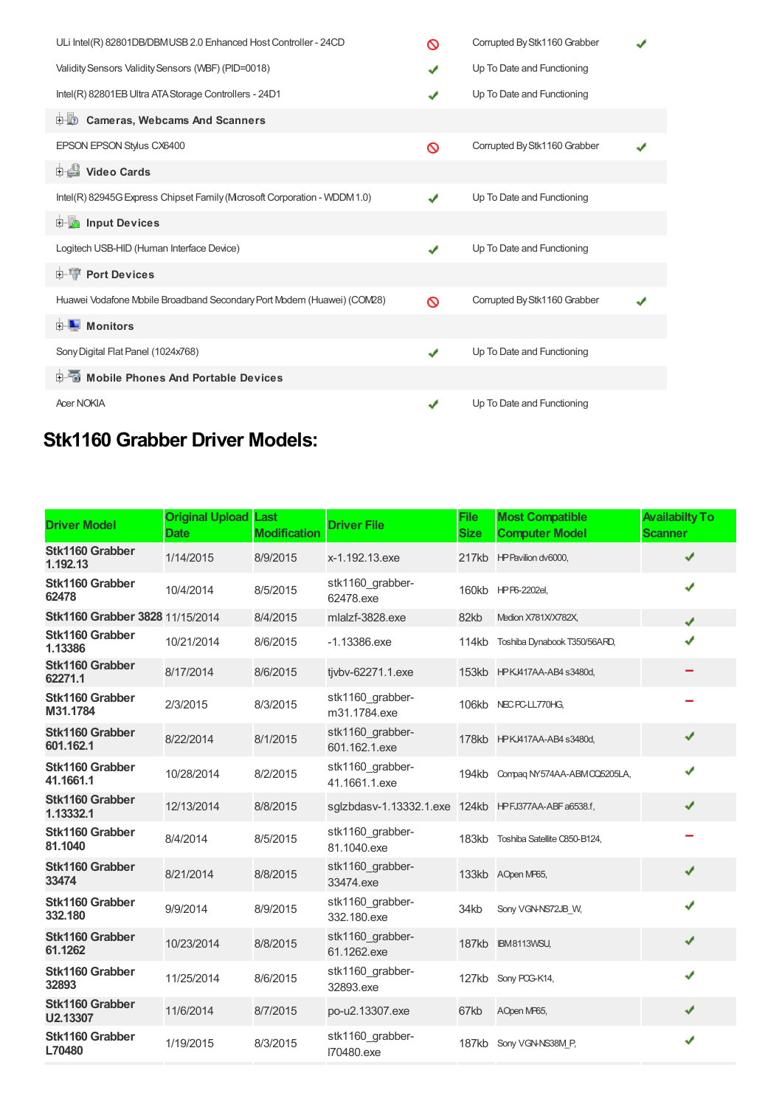| ULi Intel(R) 82801DB/DBMUSB 2.0 Enhanced Host Controller - 24CD         | ര            | Corrupted By Stk1160 Grabber |  |
|-------------------------------------------------------------------------|--------------|------------------------------|--|
| Validity Sensors Validity Sensors (WBF) (PID=0018)                      | ✔            | Up To Date and Functioning   |  |
| Intel(R) 82801EB Ultra ATA Storage Controllers - 24D1                   | ✔            | Up To Date and Functioning   |  |
| 由心<br><b>Cameras, Webcams And Scanners</b>                              |              |                              |  |
| EPSON EPSON Stylus CX6400                                               | ര            | Corrupted By Stk1160 Grabber |  |
| Video Cards                                                             |              |                              |  |
| Intel(R) 82945G Express Chipset Family (Mcrosoft Corporation - WDDM1.0) | J            | Up To Date and Functioning   |  |
| input Devices                                                           |              |                              |  |
| Logitech USB-HID (Human Interface Device)                               | ✔            | Up To Date and Functioning   |  |
| <b>E-TP</b> Port Devices                                                |              |                              |  |
| Huawei Vodafone Mobile Broadband Secondary Port Modem (Huawei) (COM28)  | ര            | Corrupted By Stk1160 Grabber |  |
| <b>D</b> Monitors                                                       |              |                              |  |
| Sony Digital Flat Panel (1024x768)                                      | $\checkmark$ | Up To Date and Functioning   |  |
| 中国 Mobile Phones And Portable Devices                                   |              |                              |  |
| <b>Acer NOKIA</b>                                                       | $\checkmark$ | Up To Date and Functioning   |  |

## **Stk1160 Grabber Driver Models:**

| <b>Driver Model</b>             | <b>Original Upload</b><br><b>Date</b> | Last<br><b>Modification</b> | <b>Driver File</b>                | <b>File</b><br><b>Size</b> | <b>Most Compatible</b><br><b>Computer Model</b> | <b>Availabilty To</b><br><b>Scanner</b> |
|---------------------------------|---------------------------------------|-----------------------------|-----------------------------------|----------------------------|-------------------------------------------------|-----------------------------------------|
| Stk1160 Grabber<br>1.192.13     | 1/14/2015                             | 8/9/2015                    | x-1.192.13.exe                    |                            | 217kb HP Pavilion dv6000,                       | ✔                                       |
| Stk1160 Grabber<br>62478        | 10/4/2014                             | 8/5/2015                    | stk1160_grabber-<br>62478.exe     |                            | 160kb HPP6-2202el,                              | ✔                                       |
| Stk1160 Grabber 3828 11/15/2014 |                                       | 8/4/2015                    | mlalzf-3828.exe                   | 82kb                       | Medion X781X/X782X,                             | J                                       |
| Stk1160 Grabber<br>1.13386      | 10/21/2014                            | 8/6/2015                    | $-1.13386$ .exe                   | 114kb                      | Toshiba Dynabook T350/56ARD,                    |                                         |
| Stk1160 Grabber<br>62271.1      | 8/17/2014                             | 8/6/2015                    | tjvbv-62271.1.exe                 |                            | 153kb HPKJ417AA-AB4 s3480d,                     |                                         |
| Stk1160 Grabber<br>M31.1784     | 2/3/2015                              | 8/3/2015                    | stk1160 grabber-<br>m31.1784.exe  |                            | 106kb NEC PC-LL770HG,                           |                                         |
| Stk1160 Grabber<br>601.162.1    | 8/22/2014                             | 8/1/2015                    | stk1160 grabber-<br>601.162.1.exe |                            | 178kb HPKJ417AA-AB4 s3480d,                     | ✔                                       |
| Stk1160 Grabber<br>41.1661.1    | 10/28/2014                            | 8/2/2015                    | stk1160 grabber-<br>41.1661.1.exe | 194kb                      | Compaq NY574AA-ABM CQ5205LA,                    | ✔                                       |
| Stk1160 Grabber<br>1.13332.1    | 12/13/2014                            | 8/8/2015                    | sglzbdasv-1.13332.1.exe           |                            | 124kb HPFJ377AA-ABFa6538.f,                     | ✔                                       |
| Stk1160 Grabber<br>81.1040      | 8/4/2014                              | 8/5/2015                    | stk1160 grabber-<br>81.1040.exe   | 183kb                      | Toshiba Satellite C850-B124,                    |                                         |
| Stk1160 Grabber<br>33474        | 8/21/2014                             | 8/8/2015                    | stk1160 grabber-<br>33474.exe     | 133kb                      | AOpen MP65,                                     | ✔                                       |
| Stk1160 Grabber<br>332.180      | 9/9/2014                              | 8/9/2015                    | stk1160 grabber-<br>332.180.exe   | 34kb                       | Sony VGN-NS72JB W,                              | J                                       |
| Stk1160 Grabber<br>61.1262      | 10/23/2014                            | 8/8/2015                    | stk1160 grabber-<br>61.1262.exe   |                            | 187kb IBM8113WSU,                               | ✔                                       |
| Stk1160 Grabber<br>32893        | 11/25/2014                            | 8/6/2015                    | stk1160 grabber-<br>32893.exe     | 127kb                      | Sony PCG-K14,                                   | ✔                                       |
| Stk1160 Grabber<br>U2.13307     | 11/6/2014                             | 8/7/2015                    | po-u2.13307.exe                   | 67kb                       | AOpen MP65,                                     | ✔                                       |
| Stk1160 Grabber<br>L70480       | 1/19/2015                             | 8/3/2015                    | stk1160_grabber-<br>I70480.exe    |                            | 187kb Sony VGN-NS38M P.                         | ✔                                       |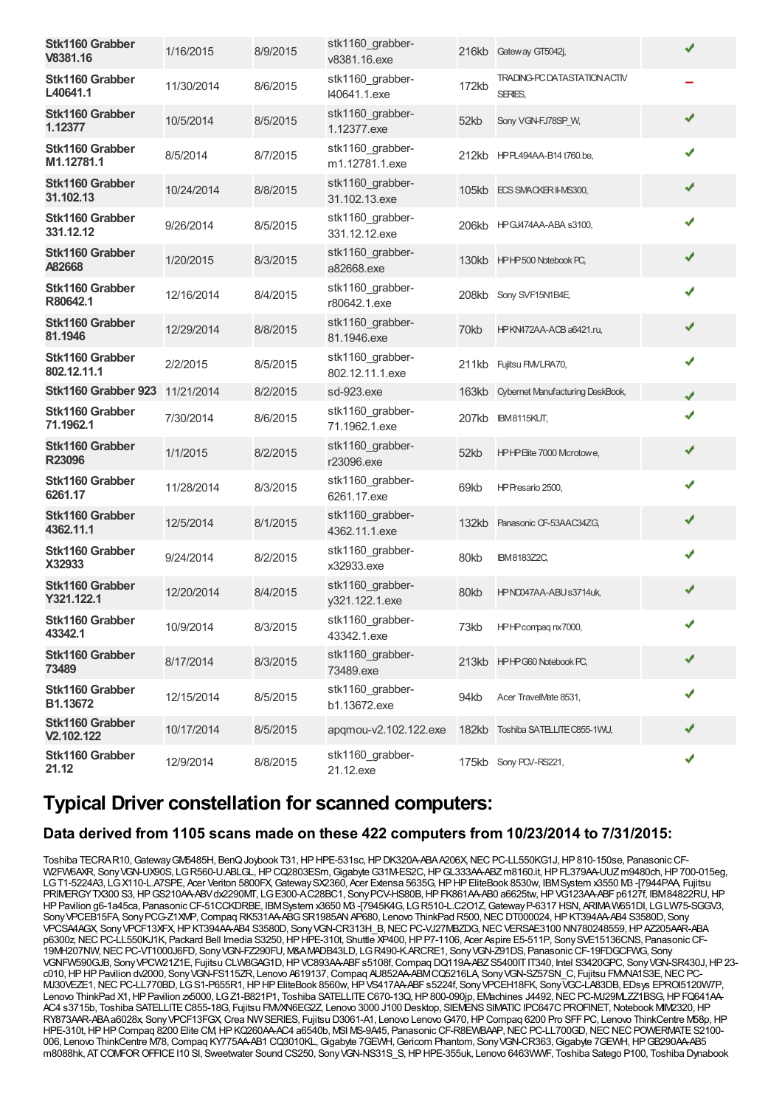| Stk1160 Grabber<br>V8381.16      | 1/16/2015  | 8/9/2015 | stk1160 grabber-<br>v8381.16.exe    |       | 216kb Gateway GT5042j,                         | ✔ |
|----------------------------------|------------|----------|-------------------------------------|-------|------------------------------------------------|---|
| Stk1160 Grabber<br>L40641.1      | 11/30/2014 | 8/6/2015 | stk1160 grabber-<br>I40641.1.exe    | 172kb | <b>TRADING-PC DATASTATION ACTIV</b><br>SERIES, |   |
| Stk1160 Grabber<br>1.12377       | 10/5/2014  | 8/5/2015 | stk1160_grabber-<br>1.12377.exe     | 52kb  | Sony VGN-FJ78SP_W,                             | ✔ |
| Stk1160 Grabber<br>M1.12781.1    | 8/5/2014   | 8/7/2015 | stk1160_grabber-<br>m1.12781.1.exe  |       | 212kb HPPL494AA-B14 t760.be,                   | ✔ |
| Stk1160 Grabber<br>31.102.13     | 10/24/2014 | 8/8/2015 | stk1160_grabber-<br>31.102.13.exe   |       | 105kb ECS SMACKER II-MS300,                    | ✔ |
| Stk1160 Grabber<br>331.12.12     | 9/26/2014  | 8/5/2015 | stk1160_grabber-<br>331.12.12.exe   |       | 206kb HPGJ474AA-ABA s3100,                     | ✔ |
| Stk1160 Grabber<br>A82668        | 1/20/2015  | 8/3/2015 | stk1160_grabber-<br>a82668.exe      |       | 130kb HPHP500 Notebook PC,                     | ✔ |
| Stk1160 Grabber<br>R80642.1      | 12/16/2014 | 8/4/2015 | stk1160_grabber-<br>r80642.1.exe    |       | 208kb Sony SVF15N1B4E,                         | ✔ |
| Stk1160 Grabber<br>81.1946       | 12/29/2014 | 8/8/2015 | stk1160 grabber-<br>81.1946.exe     | 70kb  | HPKN472AA-ACB a6421.ru,                        | ✔ |
| Stk1160 Grabber<br>802.12.11.1   | 2/2/2015   | 8/5/2015 | stk1160_grabber-<br>802.12.11.1.exe |       | 211kb Fujitsu FM/LRA70,                        | ✔ |
| Stk1160 Grabber 923              | 11/21/2014 | 8/2/2015 | sd-923.exe                          | 163kb | Cybernet Manufacturing DeskBook,               | ✔ |
| Stk1160 Grabber<br>71.1962.1     | 7/30/2014  | 8/6/2015 | stk1160 grabber-<br>71.1962.1.exe   | 207kb | <b>IBM8115KUT,</b>                             |   |
| <b>Stk1160 Grabber</b><br>R23096 | 1/1/2015   | 8/2/2015 | stk1160_grabber-<br>r23096.exe      | 52kb  | HPHP Eite 7000 Mcrotowe,                       | ✔ |
| Stk1160 Grabber<br>6261.17       | 11/28/2014 | 8/3/2015 | stk1160 grabber-<br>6261.17.exe     | 69kb  | HP Presario 2500,                              | ✔ |
| Stk1160 Grabber<br>4362.11.1     | 12/5/2014  | 8/1/2015 | stk1160 grabber-<br>4362.11.1.exe   |       | 132kb Panasonic CF-53AAC34ZG,                  | ✔ |
| Stk1160 Grabber<br>X32933        | 9/24/2014  | 8/2/2015 | stk1160_grabber-<br>x32933.exe      | 80kb  | <b>IBM8183Z2C,</b>                             | ✔ |
| Stk1160 Grabber<br>Y321.122.1    | 12/20/2014 | 8/4/2015 | stk1160_grabber-<br>y321.122.1.exe  | 80kb  | HPNO047AA-ABUs3714uk,                          | ✔ |
| Stk1160 Grabber<br>43342.1       | 10/9/2014  | 8/3/2015 | stk1160 grabber-<br>43342.1.exe     | 73kb  | HPHP compagnx7000,                             | ✔ |
| Stk1160 Grabber<br>73489         | 8/17/2014  | 8/3/2015 | stk1160_grabber-<br>73489.exe       |       | 213kb HPHPG60 Notebook PC,                     | ✔ |
| Stk1160 Grabber<br>B1.13672      | 12/15/2014 | 8/5/2015 | stk1160_grabber-<br>b1.13672.exe    | 94kb  | Acer TravelMate 8531,                          | ✔ |
| Stk1160 Grabber<br>V2.102.122    | 10/17/2014 | 8/5/2015 | apqmou-v2.102.122.exe               |       | 182kb Toshiba SATELLITE C855-1WU,              | ✔ |
| Stk1160 Grabber<br>21.12         | 12/9/2014  | 8/8/2015 | stk1160_grabber-<br>21.12.exe       |       | 175kb Sony PCV-RS221,                          | ✔ |

### **Typical Driver constellation for scanned computers:**

### **Data derived from 1105 scans made on these 422 computers from 10/23/2014 to 7/31/2015:**

Toshiba TECRAR10, Gateway GM5485H, BenQ Joybook T31, HP HPE-531sc, HP DK320A-ABAA206X, NEC PC-LL550KG1J, HP 810-150se, Panasonic CF-W2FW6AXR, Sony VGN-UX90S, LG R560-U.ABLGL, HP CQ2803ESm, Gigabyte G31M-ES2C, HP GL333AA-ABZ m8160.it, HP FL379AA-UUZ m9480ch, HP 700-015eg, LGT1-5224A3, LGX110-L.A7SPE, Acer Veriton 5800FX,GatewaySX2360, Acer Extensa 5635G,HPHPEliteBook 8530w, IBMSystem x3550 M3 -[7944PAA, Fujitsu PRIMERGYTX300 S3,HPGS210AA-ABVdx2290MT, LGE300-A.C28BC1, SonyPCV-HS80B,HPFK861AA-AB0 a6625tw,HPVG123AA-ABFp6127f, IBM84822RU,HP HPPavilion g6-1a45ca, PanasonicCF-51CCKDRBE, IBMSystem x3650 M3 -[7945K4G, LGR510-L.C2O1Z,GatewayP-6317 HSN, ARIMAW651DI, LGLW75-SGGV3, Sony VPCEB15FA, Sony PCG-Z1XMP, Compaq RK531AA-ABG SR1985AN AP680, Lenovo ThinkPad R500, NEC DT000024, HP KT394AA-AB4 S3580D, Sony VPCSA4AGX, SonyVPCF13XFX,HPKT394AA-AB4 S3580D, SonyVGN-CR313H\_B,NECPC-VJ27MBZDG,NECVERSAE3100 NN780248559,HPAZ205AAR-ABA p6300z, NEC PC-LL550KJ1K, Packard Bell Imedia S3250, HP HPE-310t, Shuttle XP400, HP P7-1106, Acer Aspire E5-511P, Sony SVE15136CNS, Panasonic CF-19MH207NW,NECPC-VT1000J6FD, SonyVGN-FZ290FU, M&AMADB43LD, LGR490-K.ARCRE1, SonyVGN-Z91DS, PanasonicCF-19FDGCFWG, Sony VGNFW590GJB, Sony VPCW21Z1E, Fujitsu CLW8GAG1D, HP VC893AA-ABFs5108f, Compaq DQ119A-ABZS5400ITIT340, Intel S3420GPC, Sony VGN-SR430J, HP23c010,HPHPPavilion dv2000, SonyVGN-FS115ZR, Lenovo A619137,Compaq AU852AA-ABMCQ5216LA, SonyVGN-SZ57SN\_C, Fujitsu FMVNA1S3E,NECPC-MJ30VEZE1,NECPC-LL770BD, LGS1-P655R1,HPHPEliteBook 8560w,HPVS417AA-ABFs5224f, SonyVPCEH18FK, SonyVGC-LA83DB, EDsys EPROI5120W7P, Lenovo ThinkPad X1, HP Pavilion zx5000, LG Z1-B821P1, Toshiba SATELLITE C670-13Q, HP 800-090jp, EMachines J4492, NEC PC-MJ29MLZZ1BSG, HP FQ641AA-AC4 s3715b, Toshiba SATELLITE C855-18G, Fujitsu FMVXN6EG2Z, Lenovo 3000 J100 Desktop, SIEMENS SIMATIC IPC647C PROFINET, Notebook MIM2320, HF RY873AAR-ABAa6028x, Sony VPCF13FGX, Crea NW SERIES, Fujitsu D3061-A1, Lenovo Lenovo G470, HP Compaq 6200 Pro SFF PC, Lenovo ThinkCentre M58p, HP HPE-310t, HP HP Compaq 8200 Elite CM, HP KQ260AAAC4 a6540b, MSI MS-9A45, Panasonic CF-R8EWBAAP, NEC PC-LL700GD, NEC NEC POWERMATE S2100-006, Lenovo ThinkCentre M78, Compaq KY775AA-AB1 CQ3010KL, Gigabyte 7GEWH, Gericom Phantom, Sony VGN-CR363, Gigabyte 7GEWH, HP GB290AA-AB5 m8088hk, ATCOMFOROFFICEI10 SI, Sweetwater Sound CS250, SonyVGN-NS31S\_S,HPHPE-355uk, Lenovo 6463WWF, Toshiba Satego P100, Toshiba Dynabook